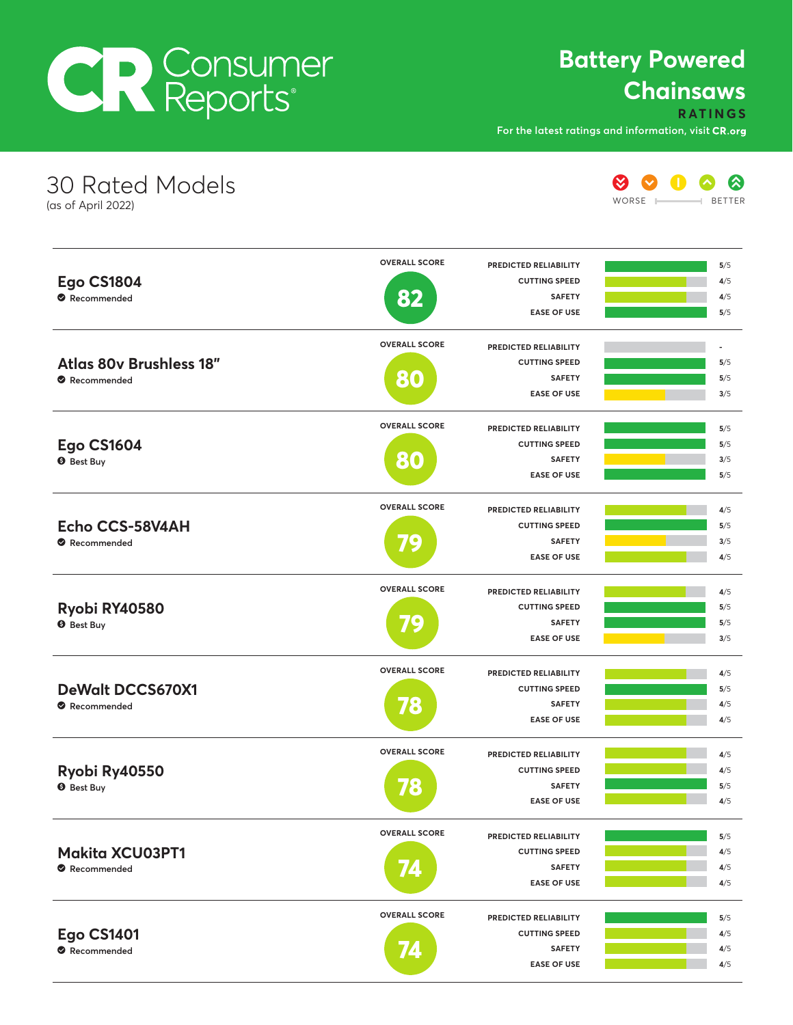# **CR** Consumer

#### **Battery Powered Chainsaws**

**RATINGS**

**For the latest ratings and information, visit**

**EASE OF USE**

**4**/5

| <b>30 Rated Models</b><br>(as of April 2022)  |                      |                                       | WORSE | ⊗<br><b>BETTER</b>       |
|-----------------------------------------------|----------------------|---------------------------------------|-------|--------------------------|
|                                               | <b>OVERALL SCORE</b> | PREDICTED RELIABILITY                 |       | 5/5                      |
| <b>Ego CS1804</b>                             |                      | <b>CUTTING SPEED</b>                  |       | 4/5                      |
| Recommended                                   | 82                   | <b>SAFETY</b><br><b>EASE OF USE</b>   |       | 4/5<br>5/5               |
|                                               | <b>OVERALL SCORE</b> | PREDICTED RELIABILITY                 |       | $\overline{\phantom{a}}$ |
| <b>Atlas 80v Brushless 18"</b><br>Recommended |                      | <b>CUTTING SPEED</b>                  |       | 5/5                      |
|                                               | 80                   | <b>SAFETY</b><br><b>EASE OF USE</b>   |       | 5/5<br>3/5               |
|                                               | <b>OVERALL SCORE</b> | PREDICTED RELIABILITY                 |       | 5/5                      |
| <b>Ego CS1604</b>                             |                      | <b>CUTTING SPEED</b>                  |       | 5/5                      |
| <b>O</b> Best Buy                             | 80                   | <b>SAFETY</b><br><b>EASE OF USE</b>   |       | 3/5<br>5/5               |
|                                               | <b>OVERALL SCORE</b> | PREDICTED RELIABILITY                 |       |                          |
| Echo CCS-58V4AH                               |                      | <b>CUTTING SPEED</b>                  |       | 4/5<br>5/5               |
| Recommended                                   | 79                   | <b>SAFETY</b>                         |       | 3/5                      |
|                                               |                      | <b>EASE OF USE</b>                    |       | 4/5                      |
|                                               | <b>OVERALL SCORE</b> | PREDICTED RELIABILITY                 |       | 4/5                      |
| Ryobi RY40580                                 |                      | <b>CUTTING SPEED</b><br><b>SAFETY</b> |       | 5/5                      |
| <b>9</b> Best Buy                             | 79                   | <b>EASE OF USE</b>                    |       | 5/5<br>3/5               |
|                                               | <b>OVERALL SCORE</b> | PREDICTED RELIABILITY                 |       | 4/5                      |
| <b>DeWalt DCCS670X1</b>                       |                      | <b>CUTTING SPEED</b>                  |       | 5/5                      |
| Recommended                                   | 78                   | <b>SAFETY</b>                         |       | 4/5                      |
|                                               |                      | <b>EASE OF USE</b>                    |       | 4/5                      |
|                                               | <b>OVERALL SCORE</b> | PREDICTED RELIABILITY                 |       | 4/5                      |
| Ryobi Ry40550                                 |                      | <b>CUTTING SPEED</b>                  |       | 4/5                      |
| <b>O</b> Best Buy                             | 78                   | <b>SAFETY</b><br><b>EASE OF USE</b>   |       | 5/5<br>4/5               |
|                                               | <b>OVERALL SCORE</b> | PREDICTED RELIABILITY                 |       | 5/5                      |
| <b>Makita XCU03PT1</b>                        |                      | <b>CUTTING SPEED</b>                  |       | 4/5                      |
| Recommended                                   | 74                   | <b>SAFETY</b>                         |       | 4/5                      |
|                                               |                      | <b>EASE OF USE</b>                    |       | 4/5                      |
|                                               | <b>OVERALL SCORE</b> | PREDICTED RELIABILITY                 |       | 5/5                      |
| <b>Ego CS1401</b>                             |                      | <b>CUTTING SPEED</b>                  |       | 4/5                      |
| Recommended                                   |                      | <b>SAFETY</b>                         |       | 4/5                      |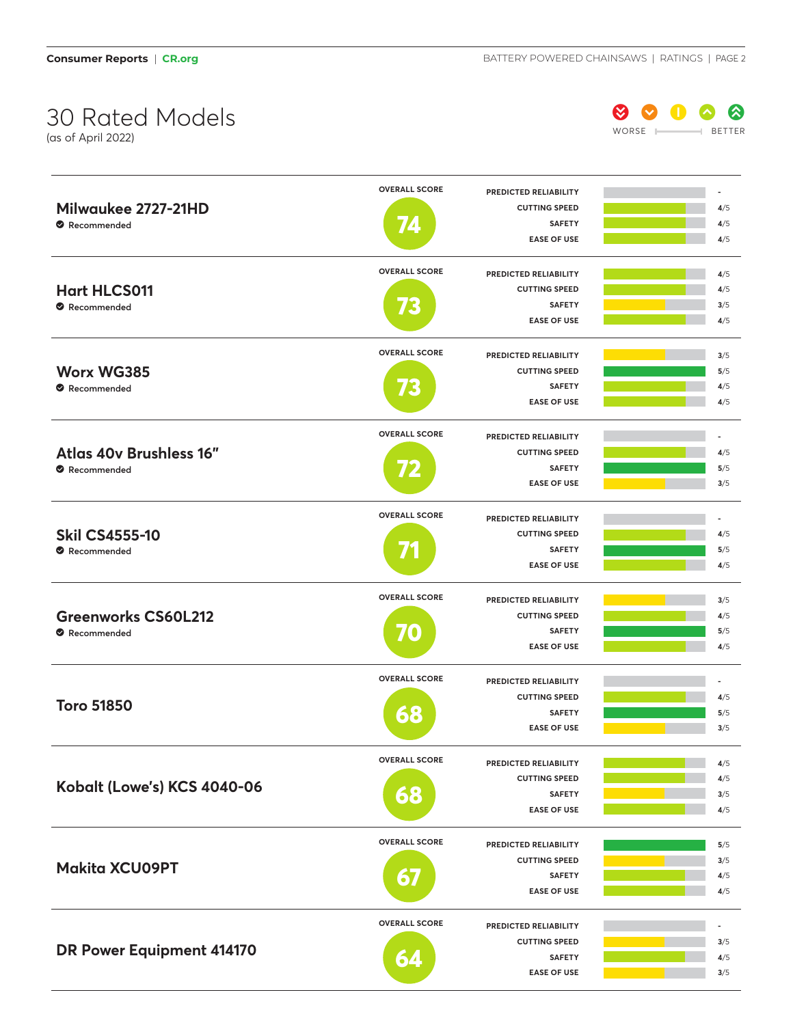## 30 Rated Models

(as of April 2022)



|                             | <b>OVERALL SCORE</b> | PREDICTED RELIABILITY                         |            |
|-----------------------------|----------------------|-----------------------------------------------|------------|
| Milwaukee 2727-21HD         |                      | <b>CUTTING SPEED</b>                          | 4/5        |
| Recommended                 | L                    | <b>SAFETY</b>                                 | 4/5        |
|                             |                      | <b>EASE OF USE</b>                            | 4/5        |
|                             | <b>OVERALL SCORE</b> | PREDICTED RELIABILITY                         | 4/5        |
| <b>Hart HLCS011</b>         |                      | <b>CUTTING SPEED</b>                          | 4/5        |
| Recommended                 |                      | <b>SAFETY</b>                                 | 3/5        |
|                             |                      | <b>EASE OF USE</b>                            | 4/5        |
|                             |                      |                                               |            |
|                             | <b>OVERALL SCORE</b> | <b>PREDICTED RELIABILITY</b>                  | 3/5        |
| <b>Worx WG385</b>           |                      | <b>CUTTING SPEED</b>                          | 5/5        |
| Recommended                 |                      | <b>SAFETY</b>                                 | 4/5        |
|                             |                      | <b>EASE OF USE</b>                            | 4/5        |
|                             | <b>OVERALL SCORE</b> | <b>PREDICTED RELIABILITY</b>                  |            |
| Atlas 40v Brushless 16"     |                      | <b>CUTTING SPEED</b>                          | 4/5        |
| Recommended                 |                      | <b>SAFETY</b>                                 | 5/5        |
|                             |                      | <b>EASE OF USE</b>                            | 3/5        |
|                             | <b>OVERALL SCORE</b> | PREDICTED RELIABILITY                         |            |
| <b>Skil CS4555-10</b>       |                      | <b>CUTTING SPEED</b>                          | 4/5        |
| Recommended                 |                      | <b>SAFETY</b>                                 | 5/5        |
|                             |                      | <b>EASE OF USE</b>                            | 4/5        |
|                             |                      |                                               |            |
|                             | <b>OVERALL SCORE</b> | PREDICTED RELIABILITY                         | 3/5        |
| <b>Greenworks CS60L212</b>  |                      | <b>CUTTING SPEED</b>                          | 4/5        |
| Recommended                 | 70                   | <b>SAFETY</b>                                 | 5/5        |
|                             |                      | <b>EASE OF USE</b>                            | 4/5        |
|                             | <b>OVERALL SCORE</b> | PREDICTED RELIABILITY                         |            |
|                             |                      | <b>CUTTING SPEED</b>                          | 4/5        |
| <b>Toro 51850</b>           | 68                   | <b>SAFETY</b>                                 | 5/5        |
|                             |                      | <b>EASE OF USE</b>                            | 3/5        |
|                             | <b>OVERALL SCORE</b> | PREDICTED RELIABILITY                         | 4/5        |
|                             |                      | <b>CUTTING SPEED</b>                          | 4/5        |
| Kobalt (Lowe's) KCS 4040-06 | 68                   | <b>SAFETY</b>                                 | 3/5        |
|                             |                      | <b>EASE OF USE</b>                            | 4/5        |
|                             | <b>OVERALL SCORE</b> |                                               |            |
|                             |                      | PREDICTED RELIABILITY<br><b>CUTTING SPEED</b> | 5/5        |
| <b>Makita XCU09PT</b>       |                      | <b>SAFETY</b>                                 | 3/5<br>4/5 |
|                             | 67                   | <b>EASE OF USE</b>                            | 4/5        |
|                             |                      |                                               |            |
|                             | <b>OVERALL SCORE</b> | PREDICTED RELIABILITY                         |            |
| DR Power Equipment 414170   |                      | <b>CUTTING SPEED</b>                          | 3/5        |
|                             | 64                   | <b>SAFETY</b>                                 | 4/5        |
|                             |                      | <b>EASE OF USE</b>                            | 3/5        |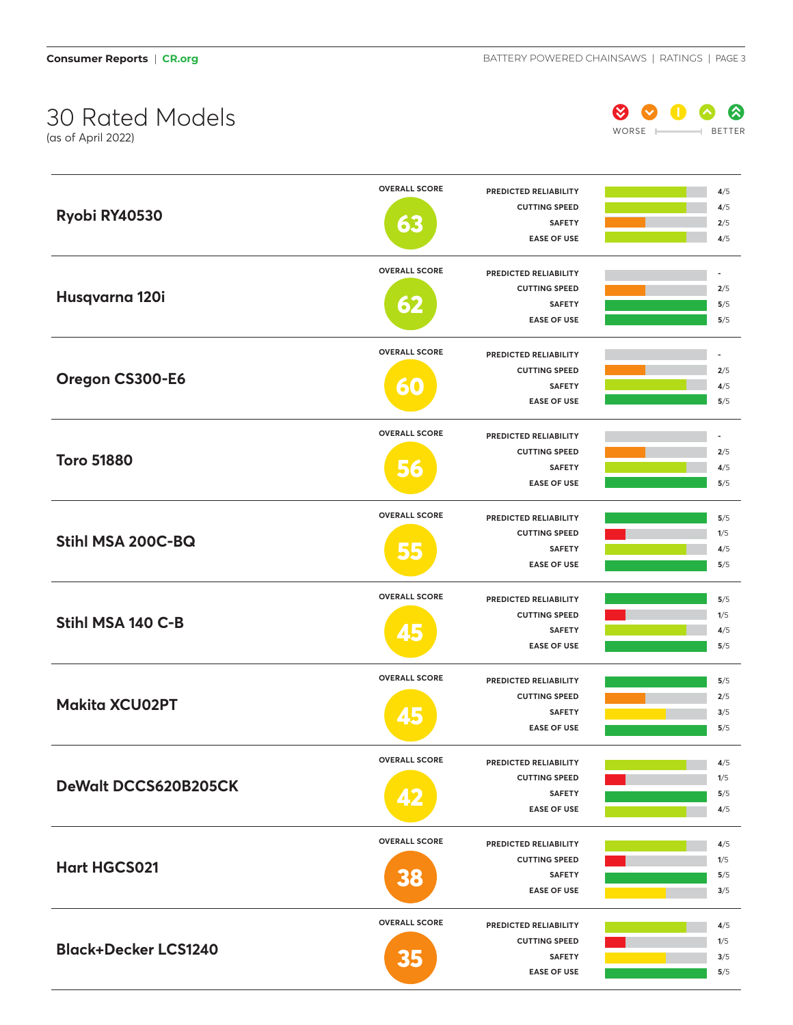## 30 Rated Models

(as of April 2022)



| <b>OVERALL SCORE</b><br>PREDICTED RELIABILITY<br><b>CUTTING SPEED</b><br>Ryobi RY40530<br>63<br><b>SAFETY</b><br><b>EASE OF USE</b><br><b>OVERALL SCORE</b><br>PREDICTED RELIABILITY | 4/5<br>4/5<br>2/5<br>4/5 |
|--------------------------------------------------------------------------------------------------------------------------------------------------------------------------------------|--------------------------|
|                                                                                                                                                                                      |                          |
|                                                                                                                                                                                      |                          |
|                                                                                                                                                                                      |                          |
|                                                                                                                                                                                      |                          |
|                                                                                                                                                                                      | ä,                       |
| <b>CUTTING SPEED</b>                                                                                                                                                                 | 2/5                      |
| Husqvarna 120i<br><b>SAFETY</b><br>$\mathbf{S}$                                                                                                                                      | 5/5                      |
| <b>EASE OF USE</b>                                                                                                                                                                   | 5/5                      |
|                                                                                                                                                                                      |                          |
| <b>OVERALL SCORE</b><br>PREDICTED RELIABILITY                                                                                                                                        |                          |
| <b>CUTTING SPEED</b><br>Oregon CS300-E6                                                                                                                                              | 2/5                      |
| <b>SAFETY</b><br>$\bullet$                                                                                                                                                           | 4/5                      |
| <b>EASE OF USE</b>                                                                                                                                                                   | 5/5                      |
| <b>OVERALL SCORE</b><br>PREDICTED RELIABILITY                                                                                                                                        |                          |
| <b>CUTTING SPEED</b>                                                                                                                                                                 | 2/5                      |
| <b>Toro 51880</b><br><b>SAFETY</b>                                                                                                                                                   | 4/5                      |
| <b>EASE OF USE</b>                                                                                                                                                                   | 5/5                      |
|                                                                                                                                                                                      |                          |
| <b>OVERALL SCORE</b><br>PREDICTED RELIABILITY                                                                                                                                        |                          |
| <b>CUTTING SPEED</b>                                                                                                                                                                 | 5/5                      |
|                                                                                                                                                                                      | 1/5                      |
| Stihl MSA 200C-BQ<br>5,5<br><b>SAFETY</b>                                                                                                                                            | 4/5                      |
| <b>EASE OF USE</b>                                                                                                                                                                   | 5/5                      |
| <b>OVERALL SCORE</b><br>PREDICTED RELIABILITY                                                                                                                                        | 5/5                      |
| <b>CUTTING SPEED</b>                                                                                                                                                                 | 1/5                      |
| Stihl MSA 140 C-B<br><b>SAFETY</b>                                                                                                                                                   | 4/5                      |
| <b>EASE OF USE</b>                                                                                                                                                                   | 5/5                      |
|                                                                                                                                                                                      |                          |
| <b>OVERALL SCORE</b><br>PREDICTED RELIABILITY                                                                                                                                        | 5/5                      |
| <b>CUTTING SPEED</b><br><b>Makita XCU02PT</b>                                                                                                                                        | 2/5                      |
| <b>SAFETY</b><br><b>EASE OF USE</b>                                                                                                                                                  | 3/5<br>5/5               |
|                                                                                                                                                                                      |                          |
| <b>OVERALL SCORE</b><br>PREDICTED RELIABILITY                                                                                                                                        | 4/5                      |
| <b>CUTTING SPEED</b>                                                                                                                                                                 | 1/5                      |
| DeWalt DCCS620B205CK<br><b>SAFETY</b>                                                                                                                                                | 5/5                      |
| <b>EASE OF USE</b>                                                                                                                                                                   | 4/5                      |
| <b>OVERALL SCORE</b>                                                                                                                                                                 |                          |
| PREDICTED RELIABILITY                                                                                                                                                                | 4/5                      |
| <b>CUTTING SPEED</b><br><b>Hart HGCS021</b><br><b>SAFETY</b>                                                                                                                         | 1/5<br>5/5               |
| <b>38</b><br><b>EASE OF USE</b>                                                                                                                                                      | 3/5                      |
|                                                                                                                                                                                      |                          |
| <b>OVERALL SCORE</b><br>PREDICTED RELIABILITY                                                                                                                                        | 4/5                      |
| <b>CUTTING SPEED</b>                                                                                                                                                                 | 1/5                      |
| <b>Black+Decker LCS1240</b><br>35<br><b>SAFETY</b><br><b>EASE OF USE</b>                                                                                                             | 3/5<br>5/5               |